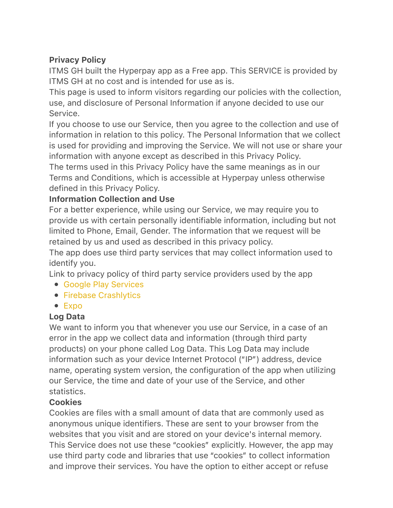# Privacy Policy

ITMS GH built the Hyperpay app as a Free app. This SERVICE is provided by ITMS GH at no cost and is intended for use as is.

This page is used to inform visitors regarding our policies with the collection, use, and disclosure of Personal Information if anyone decided to use our Service.

If you choose to use our Service, then you agree to the collection and use of information in relation to this policy. The Personal Information that we collect is used for providing and improving the Service. We will not use or share your information with anyone except as described in this Privacy Policy.

The terms used in this Privacy Policy have the same meanings as in our Terms and Conditions, which is accessible at Hyperpay unless otherwise defined in this Privacy Policy.

## Information Collection and Use

For a better experience, while using our Service, we may require you to provide us with certain personally identifiable information, including but not limited to Phone, Email, Gender. The information that we request will be retained by us and used as described in this privacy policy.

The app does use third party services that may collect information used to identify you.

Link to privacy policy of third party service providers used by the app

- [Google Play Services](https://www.google.com/policies/privacy/)
- [Firebase Crashlytics](https://firebase.google.com/support/privacy/)
- [Expo](https://expo.io/privacy)

## Log Data

We want to inform you that whenever you use our Service, in a case of an error in the app we collect data and information (through third party products) on your phone called Log Data. This Log Data may include information such as your device Internet Protocol ("IP") address, device name, operating system version, the configuration of the app when utilizing our Service, the time and date of your use of the Service, and other statistics.

## **Cookies**

Cookies are files with a small amount of data that are commonly used as anonymous unique identifiers. These are sent to your browser from the websites that you visit and are stored on your device's internal memory. This Service does not use these "cookies" explicitly. However, the app may use third party code and libraries that use "cookies" to collect information and improve their services. You have the option to either accept or refuse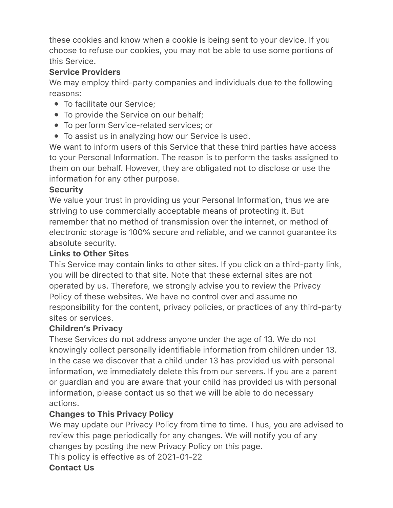these cookies and know when a cookie is being sent to your device. If you choose to refuse our cookies, you may not be able to use some portions of this Service.

## Service Providers

We may employ third-party companies and individuals due to the following reasons:

- To facilitate our Service;
- To provide the Service on our behalf;
- To perform Service-related services; or
- To assist us in analyzing how our Service is used.

We want to inform users of this Service that these third parties have access to your Personal Information. The reason is to perform the tasks assigned to them on our behalf. However, they are obligated not to disclose or use the information for any other purpose.

#### **Security**

We value your trust in providing us your Personal Information, thus we are striving to use commercially acceptable means of protecting it. But remember that no method of transmission over the internet, or method of electronic storage is 100% secure and reliable, and we cannot guarantee its absolute security.

#### Links to Other Sites

This Service may contain links to other sites. If you click on a third-party link, you will be directed to that site. Note that these external sites are not operated by us. Therefore, we strongly advise you to review the Privacy Policy of these websites. We have no control over and assume no responsibility for the content, privacy policies, or practices of any third-party sites or services.

### Children's Privacy

These Services do not address anyone under the age of 13. We do not knowingly collect personally identifiable information from children under 13. In the case we discover that a child under 13 has provided us with personal information, we immediately delete this from our servers. If you are a parent or guardian and you are aware that your child has provided us with personal information, please contact us so that we will be able to do necessary actions.

### Changes to This Privacy Policy

We may update our Privacy Policy from time to time. Thus, you are advised to review this page periodically for any changes. We will notify you of any changes by posting the new Privacy Policy on this page.

This policy is effective as of 2021-01-22

### Contact Us